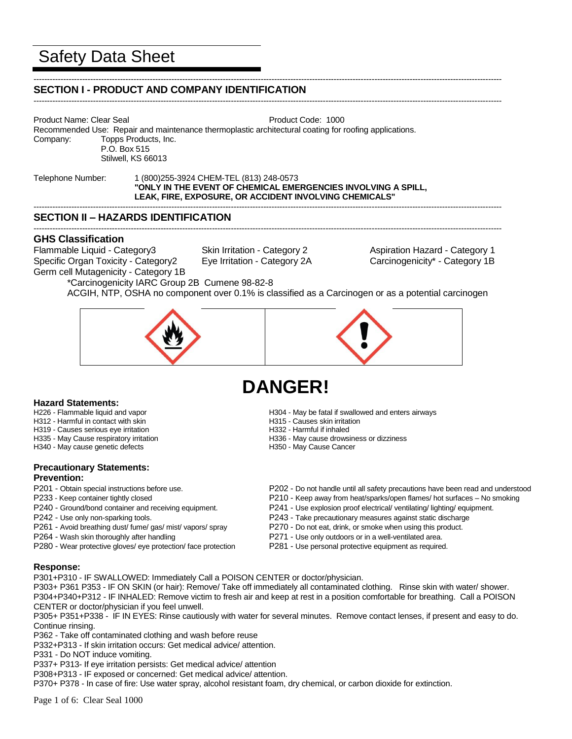# Safety Data Sheet

#### ----------------------------------------------------------------------------------------------------------------------------------------------------------------------------- **SECTION I - PRODUCT AND COMPANY IDENTIFICATION**

-----------------------------------------------------------------------------------------------------------------------------------------------------------------------------

Product Name: Clear Seal **Product Code: 1000** 

Recommended Use: Repair and maintenance thermoplastic architectural coating for roofing applications. Company: Topps Products, Inc. P.O. Box 515

Stilwell, KS 66013

#### Telephone Number: 1 (800)255-3924 CHEM-TEL (813) 248-0573 **"ONLY IN THE EVENT OF CHEMICAL EMERGENCIES INVOLVING A SPILL, LEAK, FIRE, EXPOSURE, OR ACCIDENT INVOLVING CHEMICALS"** -----------------------------------------------------------------------------------------------------------------------------------------------------------------------------

# **SECTION II – HAZARDS IDENTIFICATION**

# **GHS Classification**

Flammable Liquid - Category3 Skin Irritation - Category 2 Aspiration Hazard - Category 1 Specific Organ Toxicity - Category2 Eye Irritation - Category 2A Carcinogenicity\* - Category 1B Germ cell Mutagenicity - Category 1B

-----------------------------------------------------------------------------------------------------------------------------------------------------------------------------

\*Carcinogenicity IARC Group 2B Cumene 98-82-8 ACGIH, NTP, OSHA no component over 0.1% is classified as a Carcinogen or as a potential carcinogen



# **DANGER!**

- **Hazard Statements:**<br>H226 Flammable liquid and vapor
- H312 Harmful in contact with skin<br>
H315 Causes serious eve irritation<br>
H319 Causes serious eve irritation<br>
H319 Harmful if inhaled
- H319 Causes serious eye irritation
- 
- H340 May cause genetic defects

## **Precautionary Statements: Prevention:**

- 
- 
- 
- 
- 
- P280 Wear protective gloves/ eye protection/ face protection P281 Use personal protective equipment as required.
- H304 May be fatal if swallowed and enters airways<br>H315 Causes skin irritation
- 
- 
- H335 May Cause respiratory irritation extended to the H336 May cause drowsiness or dizziness H340 May cause genetic defects extended to H350 May Cause Cancer
	-
- P201 Obtain special instructions before use. P202 Do not handle until all safety precautions have been read and understood
- P233 Keep container tightly closed P210 Keep away from heat/sparks/open flames/ hot surfaces No smoking
- P240 Ground/bond container and receiving equipment. P241 Use explosion proof electrical/ ventilating/ lighting/ equipment.
- P242 Use only non-sparking tools. P243 Take precautionary measures against static discharge
- P261 Avoid breathing dust/ fume/ gas/ mist/ vapors/ spray P270 Do not eat, drink, or smoke when using this product.
- P264 Wash skin thoroughly after handling example and part of P271 Use only outdoors or in a well-ventilated area.
	-

## **Response:**

P301+P310 - IF SWALLOWED: Immediately Call a POISON CENTER or doctor/physician.

P303+ P361 P353 - IF ON SKIN (or hair): Remove/ Take off immediately all contaminated clothing. Rinse skin with water/ shower. P304+P340+P312 - IF INHALED: Remove victim to fresh air and keep at rest in a position comfortable for breathing. Call a POISON CENTER or doctor/physician if you feel unwell.

P305+ P351+P338 - IF IN EYES: Rinse cautiously with water for several minutes. Remove contact lenses, if present and easy to do. Continue rinsing.

P362 - Take off contaminated clothing and wash before reuse

P332+P313 - If skin irritation occurs: Get medical advice/ attention.

P331 - Do NOT induce vomiting.

P337+ P313- If eye irritation persists: Get medical advice/ attention

P308+P313 - IF exposed or concerned: Get medical advice/ attention.

P370+ P378 - In case of fire: Use water spray, alcohol resistant foam, dry chemical, or carbon dioxide for extinction.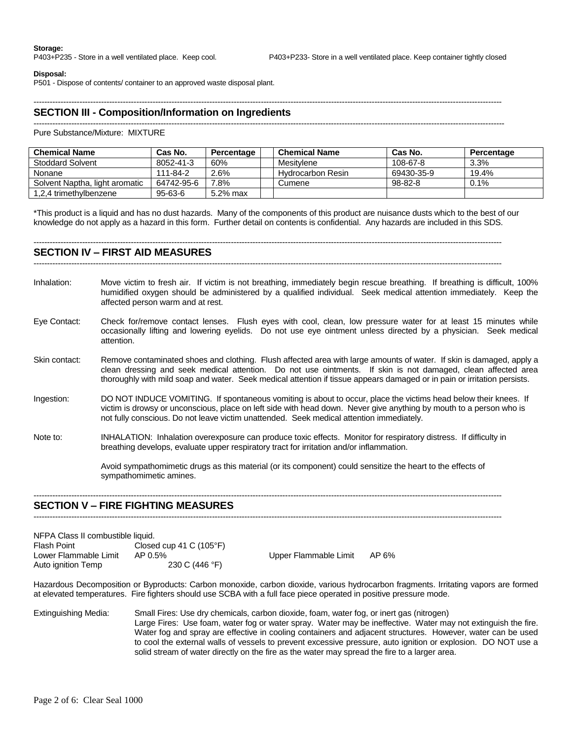#### **Disposal:**

P501 - Dispose of contents/ container to an approved waste disposal plant.

#### -----------------------------------------------------------------------------------------------------------------------------------------------------------------------------

## **SECTION III - Composition/Information on Ingredients**

#### ------------------------------------------------------------------------------------------------------------------------------------------------------------------------------

Pure Substance/Mixture: MIXTURE

| <b>Chemical Name</b>           | Cas No.    | Percentage | <b>Chemical Name</b> | Cas No.       | Percentage |
|--------------------------------|------------|------------|----------------------|---------------|------------|
| Stoddard Solvent               | 8052-41-3  | 60%        | Mesitylene           | 108-67-8      | 3.3%       |
| Nonane                         | 111-84-2   | 2.6%       | Hydrocarbon Resin    | 69430-35-9    | 19.4%      |
| Solvent Naptha, light aromatic | 64742-95-6 | .8%        | Cumene               | $98 - 82 - 8$ | 0.1%       |
| 1,2,4 trimethylbenzene         | 95-63-6    | 5.2% max   |                      |               |            |

\*This product is a liquid and has no dust hazards. Many of the components of this product are nuisance dusts which to the best of our knowledge do not apply as a hazard in this form. Further detail on contents is confidential. Any hazards are included in this SDS.

#### **SECTION IV – FIRST AID MEASURES**

-----------------------------------------------------------------------------------------------------------------------------------------------------------------------------

-----------------------------------------------------------------------------------------------------------------------------------------------------------------------------

- Inhalation: Move victim to fresh air. If victim is not breathing, immediately begin rescue breathing. If breathing is difficult, 100% humidified oxygen should be administered by a qualified individual. Seek medical attention immediately. Keep the affected person warm and at rest.
- Eye Contact: Check for/remove contact lenses. Flush eyes with cool, clean, low pressure water for at least 15 minutes while occasionally lifting and lowering eyelids. Do not use eye ointment unless directed by a physician. Seek medical attention.
- Skin contact: Remove contaminated shoes and clothing. Flush affected area with large amounts of water. If skin is damaged, apply a clean dressing and seek medical attention. Do not use ointments. If skin is not damaged, clean affected area thoroughly with mild soap and water. Seek medical attention if tissue appears damaged or in pain or irritation persists.
- Ingestion: DO NOT INDUCE VOMITING. If spontaneous vomiting is about to occur, place the victims head below their knees. If victim is drowsy or unconscious, place on left side with head down. Never give anything by mouth to a person who is not fully conscious. Do not leave victim unattended. Seek medical attention immediately.
- Note to: INHALATION: Inhalation overexposure can produce toxic effects. Monitor for respiratory distress. If difficulty in breathing develops, evaluate upper respiratory tract for irritation and/or inflammation.

Avoid sympathomimetic drugs as this material (or its component) could sensitize the heart to the effects of sympathomimetic amines.

#### **SECTION V – FIRE FIGHTING MEASURES**

-----------------------------------------------------------------------------------------------------------------------------------------------------------------------------

-----------------------------------------------------------------------------------------------------------------------------------------------------------------------------

| NFPA Class II combustible liquid. |                                  |                       |       |
|-----------------------------------|----------------------------------|-----------------------|-------|
| Flash Point                       | Closed cup 41 C $(105^{\circ}F)$ |                       |       |
| Lower Flammable Limit             | AP 0.5%                          | Upper Flammable Limit | AP 6% |
| Auto ignition Temp                | 230 C (446 °F)                   |                       |       |

Hazardous Decomposition or Byproducts: Carbon monoxide, carbon dioxide, various hydrocarbon fragments. Irritating vapors are formed at elevated temperatures. Fire fighters should use SCBA with a full face piece operated in positive pressure mode.

Extinguishing Media: Small Fires: Use dry chemicals, carbon dioxide, foam, water fog, or inert gas (nitrogen) Large Fires: Use foam, water fog or water spray. Water may be ineffective. Water may not extinguish the fire. Water fog and spray are effective in cooling containers and adjacent structures. However, water can be used to cool the external walls of vessels to prevent excessive pressure, auto ignition or explosion. DO NOT use a solid stream of water directly on the fire as the water may spread the fire to a larger area.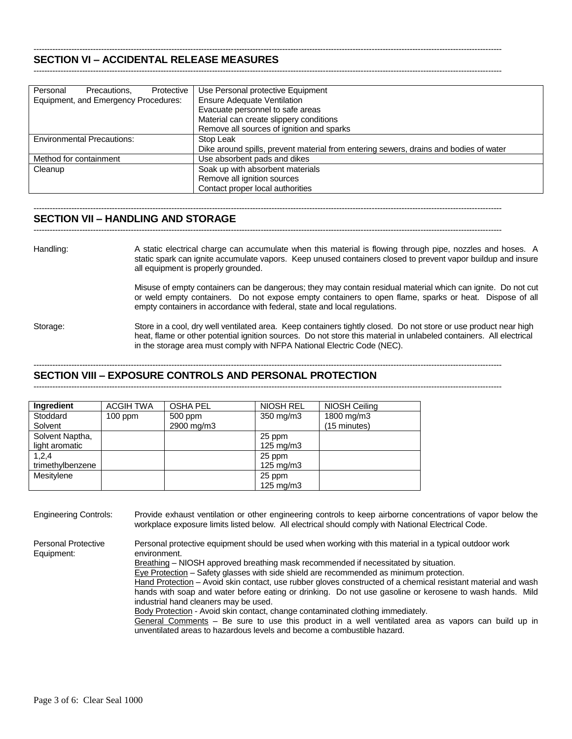#### ----------------------------------------------------------------------------------------------------------------------------------------------------------------------------- **SECTION VI – ACCIDENTAL RELEASE MEASURES**

| Personal<br>Protective<br>Precautions. | Use Personal protective Equipment                                                     |
|----------------------------------------|---------------------------------------------------------------------------------------|
| Equipment, and Emergency Procedures:   | <b>Ensure Adequate Ventilation</b>                                                    |
|                                        | Evacuate personnel to safe areas                                                      |
|                                        | Material can create slippery conditions                                               |
|                                        | Remove all sources of ignition and sparks                                             |
| <b>Environmental Precautions:</b>      | Stop Leak                                                                             |
|                                        | Dike around spills, prevent material from entering sewers, drains and bodies of water |
| Method for containment                 | Use absorbent pads and dikes                                                          |
| Cleanup                                | Soak up with absorbent materials                                                      |
|                                        | Remove all ignition sources                                                           |
|                                        | Contact proper local authorities                                                      |

-----------------------------------------------------------------------------------------------------------------------------------------------------------------------------

-----------------------------------------------------------------------------------------------------------------------------------------------------------------------------

-----------------------------------------------------------------------------------------------------------------------------------------------------------------------------

### **SECTION VII – HANDLING AND STORAGE**

Handling: A static electrical charge can accumulate when this material is flowing through pipe, nozzles and hoses. A static spark can ignite accumulate vapors. Keep unused containers closed to prevent vapor buildup and insure all equipment is properly grounded.

> Misuse of empty containers can be dangerous; they may contain residual material which can ignite. Do not cut or weld empty containers. Do not expose empty containers to open flame, sparks or heat. Dispose of all empty containers in accordance with federal, state and local regulations.

Storage: Store in a cool, dry well ventilated area. Keep containers tightly closed. Do not store or use product near high heat, flame or other potential ignition sources. Do not store this material in unlabeled containers. All electrical in the storage area must comply with NFPA National Electric Code (NEC).

#### -----------------------------------------------------------------------------------------------------------------------------------------------------------------------------

**SECTION VIII – EXPOSURE CONTROLS AND PERSONAL PROTECTION** -----------------------------------------------------------------------------------------------------------------------------------------------------------------------------

| Ingredient       | <b>ACGIH TWA</b> | <b>OSHA PEL</b> | <b>NIOSH REL</b>   | NIOSH Ceiling |
|------------------|------------------|-----------------|--------------------|---------------|
| Stoddard         | $100$ ppm        | 500 ppm         | 350 mg/m3          | 1800 mg/m3    |
| Solvent          |                  | 2900 mg/m3      |                    | (15 minutes)  |
| Solvent Naptha,  |                  |                 | 25 ppm             |               |
| light aromatic   |                  |                 | $125 \text{ mg/m}$ |               |
| 1,2,4            |                  |                 | 25 ppm             |               |
| trimethylbenzene |                  |                 | $125 \text{ mg/m}$ |               |
| Mesitylene       |                  |                 | 25 ppm             |               |
|                  |                  |                 | $125 \text{ mg/m}$ |               |

Engineering Controls: Provide exhaust ventilation or other engineering controls to keep airborne concentrations of vapor below the workplace exposure limits listed below. All electrical should comply with National Electrical Code.

Equipment: environment.

Personal Protective Personal protective equipment should be used when working with this material in a typical outdoor work

Breathing - NIOSH approved breathing mask recommended if necessitated by situation.

 $Eye$  Protection – Safety glasses with side shield are recommended as minimum protection.

Hand Protection - Avoid skin contact, use rubber gloves constructed of a chemical resistant material and wash hands with soap and water before eating or drinking. Do not use gasoline or kerosene to wash hands. Mild industrial hand cleaners may be used.

Body Protection - Avoid skin contact, change contaminated clothing immediately.

General Comments – Be sure to use this product in a well ventilated area as vapors can build up in unventilated areas to hazardous levels and become a combustible hazard.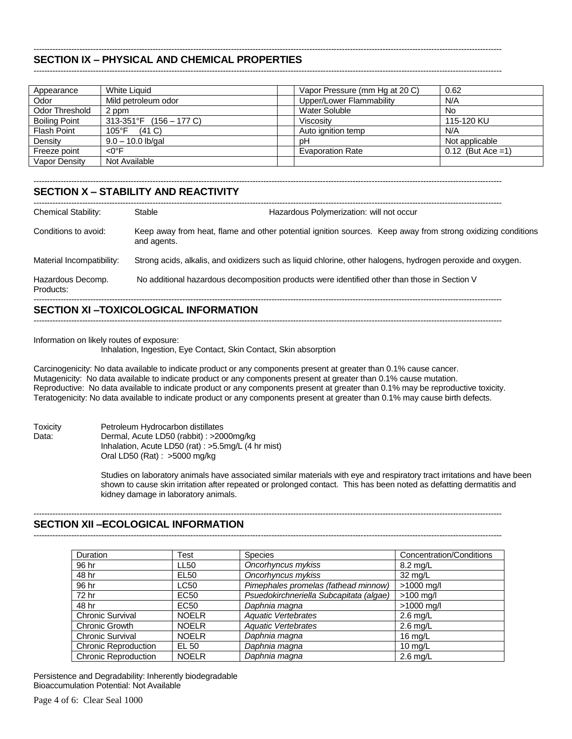#### ----------------------------------------------------------------------------------------------------------------------------------------------------------------------------- **SECTION IX – PHYSICAL AND CHEMICAL PROPERTIES**

-----------------------------------------------------------------------------------------------------------------------------------------------------------------------------

-----------------------------------------------------------------------------------------------------------------------------------------------------------------------------

| Appearance           | White Liquid               | Vapor Pressure (mm Hg at 20 C) | 0.62                 |
|----------------------|----------------------------|--------------------------------|----------------------|
| Odor                 | Mild petroleum odor        | Upper/Lower Flammability       | N/A                  |
| Odor Threshold       | 2 ppm                      | Water Soluble                  | No.                  |
| <b>Boiling Point</b> | $313-351$ °F (156 – 177 C) | Viscosity                      | 115-120 KU           |
| <b>Flash Point</b>   | 105°F<br>(41 C)            | Auto ignition temp             | N/A                  |
| Density              | $9.0 - 10.0$ lb/gal        | рH                             | Not applicable       |
| Freeze point         | <0°F                       | <b>Evaporation Rate</b>        | $0.12$ (But Ace = 1) |
| Vapor Density        | Not Available              |                                |                      |

# **SECTION X – STABILITY AND REACTIVITY**

| <b>Chemical Stability:</b>     | Stable<br>Hazardous Polymerization: will not occur                                                                         |  |
|--------------------------------|----------------------------------------------------------------------------------------------------------------------------|--|
| Conditions to avoid:           | Keep away from heat, flame and other potential ignition sources. Keep away from strong oxidizing conditions<br>and agents. |  |
| Material Incompatibility:      | Strong acids, alkalis, and oxidizers such as liquid chlorine, other halogens, hydrogen peroxide and oxygen.                |  |
| Hazardous Decomp.<br>Products: | No additional hazardous decomposition products were identified other than those in Section V                               |  |

# **SECTION XI –TOXICOLOGICAL INFORMATION**

Information on likely routes of exposure:

Inhalation, Ingestion, Eye Contact, Skin Contact, Skin absorption

Carcinogenicity: No data available to indicate product or any components present at greater than 0.1% cause cancer. Mutagenicity: No data available to indicate product or any components present at greater than 0.1% cause mutation. Reproductive: No data available to indicate product or any components present at greater than 0.1% may be reproductive toxicity. Teratogenicity: No data available to indicate product or any components present at greater than 0.1% may cause birth defects.

-----------------------------------------------------------------------------------------------------------------------------------------------------------------------------

Toxicity Petroleum Hydrocarbon distillates Data: Dermal, Acute LD50 (rabbit) : >2000mg/kg Inhalation, Acute LD50 (rat) : >5.5mg/L (4 hr mist) Oral LD50 (Rat) : >5000 mg/kg

> Studies on laboratory animals have associated similar materials with eye and respiratory tract irritations and have been shown to cause skin irritation after repeated or prolonged contact. This has been noted as defatting dermatitis and kidney damage in laboratory animals.

#### ----------------------------------------------------------------------------------------------------------------------------------------------------------------------------- **SECTION XII –ECOLOGICAL INFORMATION**

| <b>Duration</b>             | Test             | <b>Species</b>                          | Concentration/Conditions |
|-----------------------------|------------------|-----------------------------------------|--------------------------|
| 96 hr                       | LL50             | Oncorhyncus mykiss                      | $8.2 \text{ ma/L}$       |
| 48 hr                       | EL <sub>50</sub> | Oncorhyncus mykiss                      | 32 mg/L                  |
| 96 hr                       | LC50             | Pimephales promelas (fathead minnow)    | $>1000$ mg/l             |
| 72 hr                       | EC <sub>50</sub> | Psuedokirchneriella Subcapitata (algae) | $>100$ mg/l              |
| 48 hr                       | EC50             | Daphnia maqna                           | $>1000$ mg/l             |
| <b>Chronic Survival</b>     | <b>NOELR</b>     | <b>Aquatic Vertebrates</b>              | $2.6$ mg/L               |
| Chronic Growth              | <b>NOELR</b>     | <b>Aquatic Vertebrates</b>              | $2.6 \text{ mg/L}$       |
| <b>Chronic Survival</b>     | <b>NOELR</b>     | Daphnia magna                           | 16 mg/L                  |
| <b>Chronic Reproduction</b> | EL 50            | Daphnia magna                           | $10 \text{ mg/L}$        |
| <b>Chronic Reproduction</b> | <b>NOELR</b>     | Daphnia magna                           | $2.6$ mg/L               |

-----------------------------------------------------------------------------------------------------------------------------------------------------------------------------

Persistence and Degradability: Inherently biodegradable Bioaccumulation Potential: Not Available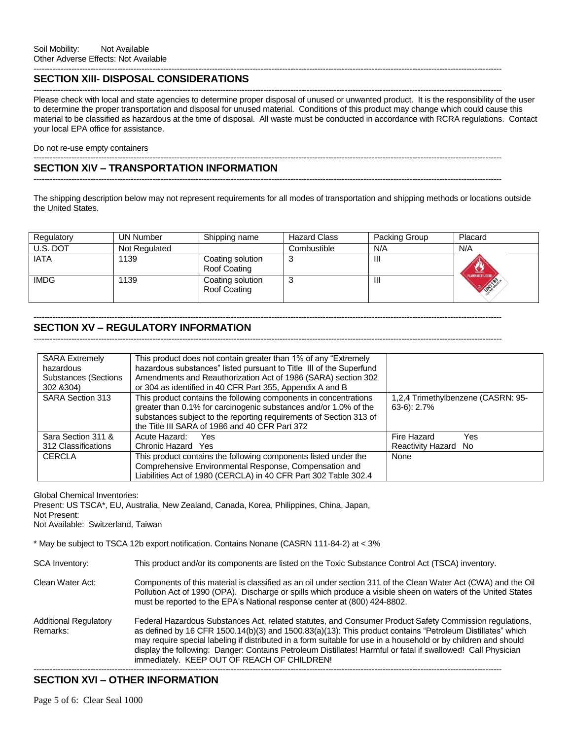#### ----------------------------------------------------------------------------------------------------------------------------------------------------------------------------- **SECTION XIII- DISPOSAL CONSIDERATIONS**

----------------------------------------------------------------------------------------------------------------------------------------------------------------------------- Please check with local and state agencies to determine proper disposal of unused or unwanted product. It is the responsibility of the user to determine the proper transportation and disposal for unused material. Conditions of this product may change which could cause this material to be classified as hazardous at the time of disposal. All waste must be conducted in accordance with RCRA regulations. Contact your local EPA office for assistance.

Do not re-use empty containers

#### ----------------------------------------------------------------------------------------------------------------------------------------------------------------------------- **SECTION XIV – TRANSPORTATION INFORMATION**

-----------------------------------------------------------------------------------------------------------------------------------------------------------------------------

The shipping description below may not represent requirements for all modes of transportation and shipping methods or locations outside the United States.

| Regulatory  | <b>UN Number</b> | Shipping name                    | <b>Hazard Class</b> | Packing Group | Placard                              |
|-------------|------------------|----------------------------------|---------------------|---------------|--------------------------------------|
| U.S. DOT    | Not Regulated    |                                  | Combustible         | N/A           | N/A                                  |
| <b>IATA</b> | 1139             | Coating solution<br>Roof Coating | J                   | Ш             |                                      |
| <b>IMDG</b> | 1139             | Coating solution<br>Roof Coating | ن.                  | Ш             | FLAMMABLE LIQUID<br><b>DAMISSION</b> |

# **SECTION XV – REGULATORY INFORMATION**

-----------------------------------------------------------------------------------------------------------------------------------------------------------------------------

-----------------------------------------------------------------------------------------------------------------------------------------------------------------------------

| <b>SARA Extremely</b>       | This product does not contain greater than 1% of any "Extremely                                                                                                                                                                                              |                                                     |
|-----------------------------|--------------------------------------------------------------------------------------------------------------------------------------------------------------------------------------------------------------------------------------------------------------|-----------------------------------------------------|
| hazardous                   | hazardous substances" listed pursuant to Title III of the Superfund                                                                                                                                                                                          |                                                     |
| <b>Substances (Sections</b> | Amendments and Reauthorization Act of 1986 (SARA) section 302                                                                                                                                                                                                |                                                     |
| 302 & 304)                  | or 304 as identified in 40 CFR Part 355, Appendix A and B                                                                                                                                                                                                    |                                                     |
| <b>SARA Section 313</b>     | This product contains the following components in concentrations<br>greater than 0.1% for carcinogenic substances and/or 1.0% of the<br>substances subject to the reporting requirements of Section 313 of<br>the Title III SARA of 1986 and 40 CFR Part 372 | 1,2,4 Trimethylbenzene (CASRN: 95-<br>$63-6$ : 2.7% |
| Sara Section 311 &          | Acute Hazard:<br>Yes.                                                                                                                                                                                                                                        | Fire Hazard<br>Yes                                  |
| 312 Classifications         | Chronic Hazard Yes                                                                                                                                                                                                                                           | Reactivity Hazard No                                |
| <b>CERCLA</b>               | This product contains the following components listed under the                                                                                                                                                                                              | None                                                |
|                             | Comprehensive Environmental Response, Compensation and                                                                                                                                                                                                       |                                                     |
|                             | Liabilities Act of 1980 (CERCLA) in 40 CFR Part 302 Table 302.4                                                                                                                                                                                              |                                                     |

Global Chemical Inventories:

Present: US TSCA\*, EU, Australia, New Zealand, Canada, Korea, Philippines, China, Japan,

Not Present:

Not Available: Switzerland, Taiwan

\* May be subject to TSCA 12b export notification. Contains Nonane (CASRN 111-84-2) at < 3%

SCA Inventory: This product and/or its components are listed on the Toxic Substance Control Act (TSCA) inventory.

- Clean Water Act: Components of this material is classified as an oil under section 311 of the Clean Water Act (CWA) and the Oil Pollution Act of 1990 (OPA). Discharge or spills which produce a visible sheen on waters of the United States must be reported to the EPA's National response center at (800) 424-8802.
- Additional Regulatory Federal Hazardous Substances Act, related statutes, and Consumer Product Safety Commission regulations,<br>Remarks: as defined by 16 CFR 1500.14(b)(3) and 1500.83(a)(13): This product contains "Petroleum as defined by 16 CFR 1500.14(b)(3) and 1500.83(a)(13): This product contains "Petroleum Distillates" which may require special labeling if distributed in a form suitable for use in a household or by children and should display the following: Danger: Contains Petroleum Distillates! Harmful or fatal if swallowed! Call Physician immediately. KEEP OUT OF REACH OF CHILDREN!

#### -----------------------------------------------------------------------------------------------------------------------------------------------------------------------------

# **SECTION XVI – OTHER INFORMATION**